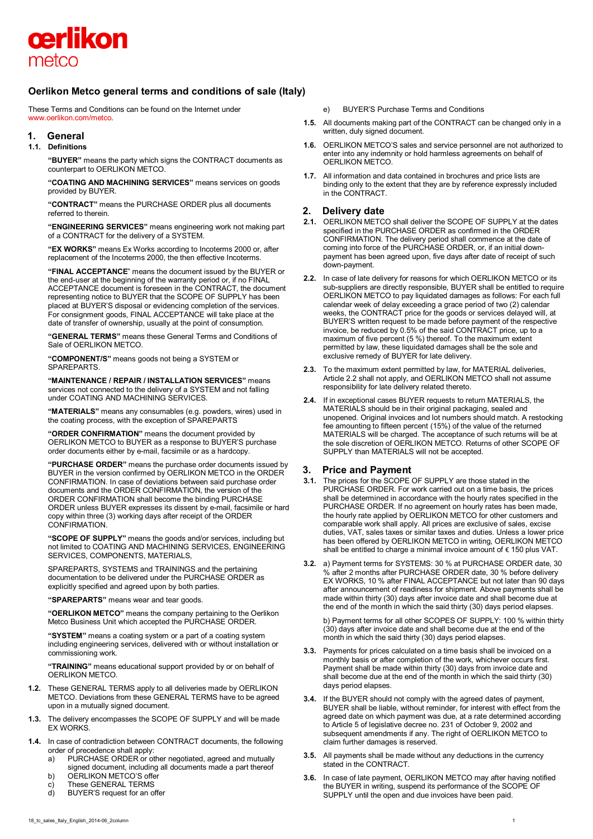

# **Oerlikon Metco general terms and conditions of sale (Italy)**

These Terms and Conditions can be found on the Internet under [www.oerlikon.com/metco.](http://www.oerlikon.com/metco)

## **1. General**

## **1.1. Definitions**

**"BUYER"** means the party which signs the CONTRACT documents as counterpart to OERLIKON METCO.

**"COATING AND MACHINING SERVICES"** means services on goods provided by BUYER.

**"CONTRACT"** means the PURCHASE ORDER plus all documents referred to therein.

**"ENGINEERING SERVICES"** means engineering work not making part of a CONTRACT for the delivery of a SYSTEM.

**"EX WORKS"** means Ex Works according to Incoterms 2000 or, after replacement of the Incoterms 2000, the then effective Incoterms.

**"FINAL ACCEPTANCE**" means the document issued by the BUYER or the end-user at the beginning of the warranty period or, if no FINAL ACCEPTANCE document is foreseen in the CONTRACT, the document representing notice to BUYER that the SCOPE OF SUPPLY has been placed at BUYER'S disposal or evidencing completion of the services. For consignment goods, FINAL ACCEPTANCE will take place at the date of transfer of ownership, usually at the point of consumption.

**"GENERAL TERMS"** means these General Terms and Conditions of Sale of OERLIKON METCO.

**"COMPONENT/S"** means goods not being a SYSTEM or SPAREPARTS.

**"MAINTENANCE / REPAIR / INSTALLATION SERVICES"** means services not connected to the delivery of a SYSTEM and not falling under COATING AND MACHINING SERVICES.

**"MATERIALS"** means any consumables (e.g. powders, wires) used in the coating process, with the exception of SPAREPARTS

**"ORDER CONFIRMATION"** means the document provided by OERLIKON METCO to BUYER as a response to BUYER'S purchase order documents either by e-mail, facsimile or as a hardcopy.

**"PURCHASE ORDER"** means the purchase order documents issued by BUYER in the version confirmed by OERLIKON METCO in the ORDER CONFIRMATION. In case of deviations between said purchase order documents and the ORDER CONFIRMATION, the version of the ORDER CONFIRMATION shall become the binding PURCHASE ORDER unless BUYER expresses its dissent by e-mail, facsimile or hard copy within three (3) working days after receipt of the ORDER CONFIRMATION.

**"SCOPE OF SUPPLY"** means the goods and/or services, including but not limited to COATING AND MACHINING SERVICES, ENGINEERING SERVICES, COMPONENTS, MATERIALS,

SPAREPARTS, SYSTEMS and TRAININGS and the pertaining documentation to be delivered under the PURCHASE ORDER as explicitly specified and agreed upon by both parties.

**"SPAREPARTS"** means wear and tear goods.

**"OERLIKON METCO"** means the company pertaining to the Oerlikon Metco Business Unit which accepted the PURCHASE ORDER.

**"SYSTEM"** means a coating system or a part of a coating system including engineering services, delivered with or without installation or commissioning work.

**"TRAINING"** means educational support provided by or on behalf of OERLIKON METCO.

- **1.2.** These GENERAL TERMS apply to all deliveries made by OERLIKON METCO. Deviations from these GENERAL TERMS have to be agreed upon in a mutually signed document.
- **1.3.** The delivery encompasses the SCOPE OF SUPPLY and will be made EX WORKS.
- **1.4.** In case of contradiction between CONTRACT documents, the following order of precedence shall apply:
	- a) PURCHASE ORDER or other negotiated, agreed and mutually signed document, including all documents made a part thereof
	- b) OERLIKON METCO'S offer
	-
	- c) These GENERAL TERMS<br>d) BUYER'S request for an of BUYER'S request for an offer
- e) BUYER'S Purchase Terms and Conditions
- **1.5.** All documents making part of the CONTRACT can be changed only in a written, duly signed document.
- **1.6.** OERLIKON METCO'S sales and service personnel are not authorized to enter into any indemnity or hold harmless agreements on behalf of OERLIKON METCO.
- **1.7.** All information and data contained in brochures and price lists are binding only to the extent that they are by reference expressly included in the CONTRACT.

## **2. Delivery date**

- **2.1.** OERLIKON METCO shall deliver the SCOPE OF SUPPLY at the dates specified in the PURCHASE ORDER as confirmed in the ORDER CONFIRMATION. The delivery period shall commence at the date of coming into force of the PURCHASE ORDER, or, if an initial downpayment has been agreed upon, five days after date of receipt of such down-payment.
- **2.2.** In case of late delivery for reasons for which OERLIKON METCO or its sub-suppliers are directly responsible, BUYER shall be entitled to require OERLIKON METCO to pay liquidated damages as follows: For each full calendar week of delay exceeding a grace period of two (2) calendar weeks, the CONTRACT price for the goods or services delayed will, at BUYER'S written request to be made before payment of the respective invoice, be reduced by 0.5% of the said CONTRACT price, up to a maximum of five percent (5 %) thereof. To the maximum extent permitted by law, these liquidated damages shall be the sole and exclusive remedy of BUYER for late delivery.
- **2.3.** To the maximum extent permitted by law, for MATERIAL deliveries, Article 2.2 shall not apply, and OERLIKON METCO shall not assume responsibility for late delivery related thereto.
- **2.4.** If in exceptional cases BUYER requests to return MATERIALS, the MATERIALS should be in their original packaging, sealed and unopened. Original invoices and lot numbers should match. A restocking fee amounting to fifteen percent (15%) of the value of the returned MATERIALS will be charged. The acceptance of such returns will be at the sole discretion of OERLIKON METCO. Returns of other SCOPE OF SUPPLY than MATERIALS will not be accepted.

## **3. Price and Payment**

- **3.1.** The prices for the SCOPE OF SUPPLY are those stated in the PURCHASE ORDER. For work carried out on a time basis, the prices shall be determined in accordance with the hourly rates specified in the PURCHASE ORDER. If no agreement on hourly rates has been made, the hourly rate applied by OERLIKON METCO for other customers and comparable work shall apply. All prices are exclusive of sales, excise duties, VAT, sales taxes or similar taxes and duties. Unless a lower price has been offered by OERLIKON METCO in writing, OERLIKON METCO shall be entitled to charge a minimal invoice amount of € 150 plus VAT.
- **3.2.** a) Payment terms for SYSTEMS: 30 % at PURCHASE ORDER date, 30 % after 2 months after PURCHASE ORDER date, 30 % before delivery EX WORKS, 10 % after FINAL ACCEPTANCE but not later than 90 days after announcement of readiness for shipment. Above payments shall be made within thirty (30) days after invoice date and shall become due at the end of the month in which the said thirty (30) days period elapses.

b) Payment terms for all other SCOPES OF SUPPLY: 100 % within thirty (30) days after invoice date and shall become due at the end of the month in which the said thirty (30) days period elapses.

- **3.3.** Payments for prices calculated on a time basis shall be invoiced on a monthly basis or after completion of the work, whichever occurs first. Payment shall be made within thirty (30) days from invoice date and shall become due at the end of the month in which the said thirty (30) days period elapses.
- **3.4.** If the BUYER should not comply with the agreed dates of payment, BUYER shall be liable, without reminder, for interest with effect from the agreed date on which payment was due, at a rate determined according to Article 5 of legislative decree no. 231 of October 9, 2002 and subsequent amendments if any. The right of OERLIKON METCO to claim further damages is reserved.
- **3.5.** All payments shall be made without any deductions in the currency stated in the CONTRACT.
- **3.6.** In case of late payment, OERLIKON METCO may after having notified the BUYER in writing, suspend its performance of the SCOPE OF SUPPLY until the open and due invoices have been paid.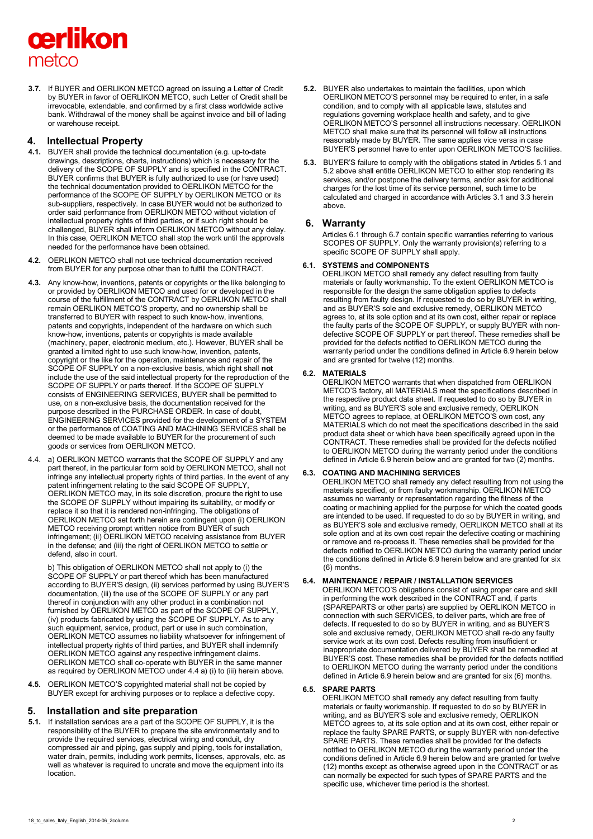# cerlikon metco

**3.7.** If BUYER and OERLIKON METCO agreed on issuing a Letter of Credit by BUYER in favor of OERLIKON METCO, such Letter of Credit shall be irrevocable, extendable, and confirmed by a first class worldwide active bank. Withdrawal of the money shall be against invoice and bill of lading or warehouse receipt.

# **4. Intellectual Property**

- **4.1.** BUYER shall provide the technical documentation (e.g. up-to-date drawings, descriptions, charts, instructions) which is necessary for the delivery of the SCOPE OF SUPPLY and is specified in the CONTRACT. BUYER confirms that BUYER is fully authorized to use (or have used) the technical documentation provided to OERLIKON METCO for the performance of the SCOPE OF SUPPLY by OERLIKON METCO or its sub-suppliers, respectively. In case BUYER would not be authorized to order said performance from OERLIKON METCO without violation of intellectual property rights of third parties, or if such right should be challenged, BUYER shall inform OERLIKON METCO without any delay. In this case, OERLIKON METCO shall stop the work until the approvals needed for the performance have been obtained.
- **4.2.** OERLIKON METCO shall not use technical documentation received from BUYER for any purpose other than to fulfill the CONTRACT.
- **4.3.** Any know-how, inventions, patents or copyrights or the like belonging to or provided by OERLIKON METCO and used for or developed in the course of the fulfillment of the CONTRACT by OERLIKON METCO shall remain OERLIKON METCO'S property, and no ownership shall be transferred to BUYER with respect to such know-how, inventions, patents and copyrights, independent of the hardware on which such know-how, inventions, patents or copyrights is made available (machinery, paper, electronic medium, etc.). However, BUYER shall be granted a limited right to use such know-how, invention, patents, copyright or the like for the operation, maintenance and repair of the SCOPE OF SUPPLY on a non-exclusive basis, which right shall **not** include the use of the said intellectual property for the reproduction of the SCOPE OF SUPPLY or parts thereof. If the SCOPE OF SUPPLY consists of ENGINEERING SERVICES, BUYER shall be permitted to use, on a non-exclusive basis, the documentation received for the purpose described in the PURCHASE ORDER. In case of doubt, ENGINEERING SERVICES provided for the development of a SYSTEM or the performance of COATING AND MACHINING SERVICES shall be deemed to be made available to BUYER for the procurement of such goods or services from OERLIKON METCO.
- 4.4. a) OERLIKON METCO warrants that the SCOPE OF SUPPLY and any part thereof, in the particular form sold by OERLIKON METCO, shall not infringe any intellectual property rights of third parties. In the event of any patent infringement relating to the said SCOPE OF SUPPLY, OERLIKON METCO may, in its sole discretion, procure the right to use the SCOPE OF SUPPLY without impairing its suitability, or modify or replace it so that it is rendered non-infringing. The obligations of OERLIKON METCO set forth herein are contingent upon (i) OERLIKON METCO receiving prompt written notice from BUYER of such infringement; (ii) OERLIKON METCO receiving assistance from BUYER in the defense; and (iii) the right of OERLIKON METCO to settle or defend, also in court.

b) This obligation of OERLIKON METCO shall not apply to (i) the SCOPE OF SUPPLY or part thereof which has been manufactured according to BUYER'S design, (ii) services performed by using BUYER'S documentation, (iii) the use of the SCOPE OF SUPPLY or any part thereof in conjunction with any other product in a combination not furnished by OERLIKON METCO as part of the SCOPE OF SUPPLY, (iv) products fabricated by using the SCOPE OF SUPPLY. As to any such equipment, service, product, part or use in such combination, OERLIKON METCO assumes no liability whatsoever for infringement of intellectual property rights of third parties, and BUYER shall indemnify OERLIKON METCO against any respective infringement claims. OERLIKON METCO shall co-operate with BUYER in the same manner as required by OERLIKON METCO under 4.4 a) (i) to (iii) herein above.

**4.5.** OERLIKON METCO'S copyrighted material shall not be copied by BUYER except for archiving purposes or to replace a defective copy.

# **5. Installation and site preparation**

**5.1.** If installation services are a part of the SCOPE OF SUPPLY, it is the responsibility of the BUYER to prepare the site environmentally and to provide the required services, electrical wiring and conduit, dry compressed air and piping, gas supply and piping, tools for installation, water drain, permits, including work permits, licenses, approvals, etc. as well as whatever is required to uncrate and move the equipment into its location.

- **5.2.** BUYER also undertakes to maintain the facilities, upon which OERLIKON METCO'S personnel may be required to enter, in a safe condition, and to comply with all applicable laws, statutes and regulations governing workplace health and safety, and to give OERLIKON METCO'S personnel all instructions necessary. OERLIKON METCO shall make sure that its personnel will follow all instructions reasonably made by BUYER. The same applies vice versa in case BUYER'S personnel have to enter upon OERLIKON METCO'S facilities.
- **5.3.** BUYER'S failure to comply with the obligations stated in Articles 5.1 and 5.2 above shall entitle OERLIKON METCO to either stop rendering its services, and/or postpone the delivery terms, and/or ask for additional charges for the lost time of its service personnel, such time to be calculated and charged in accordance with Articles 3.1 and 3.3 herein above.

# **6. Warranty**

Articles 6.1 through 6.7 contain specific warranties referring to various SCOPES OF SUPPLY. Only the warranty provision(s) referring to a specific SCOPE OF SUPPLY shall apply.

# **6.1. SYSTEMS and COMPONENTS**

OERLIKON METCO shall remedy any defect resulting from faulty materials or faulty workmanship. To the extent OERLIKON METCO is responsible for the design the same obligation applies to defects resulting from faulty design. If requested to do so by BUYER in writing, and as BUYER'S sole and exclusive remedy, OERLIKON METCO agrees to, at its sole option and at its own cost, either repair or replace the faulty parts of the SCOPE OF SUPPLY, or supply BUYER with nondefective SCOPE OF SUPPLY or part thereof. These remedies shall be provided for the defects notified to OERLIKON METCO during the warranty period under the conditions defined in Article 6.9 herein below and are granted for twelve (12) months.

# **6.2. MATERIALS**

OERLIKON METCO warrants that when dispatched from OERLIKON METCO'S factory, all MATERIALS meet the specifications described in the respective product data sheet. If requested to do so by BUYER in writing, and as BUYER'S sole and exclusive remedy, OERLIKON METCO agrees to replace, at OERLIKON METCO'S own cost, any MATERIALS which do not meet the specifications described in the said product data sheet or which have been specifically agreed upon in the CONTRACT. These remedies shall be provided for the defects notified to OERLIKON METCO during the warranty period under the conditions defined in Article 6.9 herein below and are granted for two (2) months.

# **6.3. COATING AND MACHINING SERVICES**

OERLIKON METCO shall remedy any defect resulting from not using the materials specified, or from faulty workmanship. OERLIKON METCO assumes no warranty or representation regarding the fitness of the coating or machining applied for the purpose for which the coated goods are intended to be used. If requested to do so by BUYER in writing, and as BUYER'S sole and exclusive remedy, OERLIKON METCO shall at its sole option and at its own cost repair the defective coating or machining or remove and re-process it. These remedies shall be provided for the defects notified to OERLIKON METCO during the warranty period under the conditions defined in Article 6.9 herein below and are granted for six (6) months.

# **6.4. MAINTENANCE / REPAIR / INSTALLATION SERVICES**

OERLIKON METCO'S obligations consist of using proper care and skill in performing the work described in the CONTRACT and, if parts (SPAREPARTS or other parts) are supplied by OERLIKON METCO in connection with such SERVICES, to deliver parts, which are free of defects. If requested to do so by BUYER in writing, and as BUYER'S sole and exclusive remedy, OERLIKON METCO shall re-do any faulty service work at its own cost. Defects resulting from insufficient or inappropriate documentation delivered by BUYER shall be remedied at BUYER'S cost. These remedies shall be provided for the defects notified to OERLIKON METCO during the warranty period under the conditions defined in Article 6.9 herein below and are granted for six (6) months.

## **6.5. SPARE PARTS**

OERLIKON METCO shall remedy any defect resulting from faulty materials or faulty workmanship. If requested to do so by BUYER in writing, and as BUYER'S sole and exclusive remedy, OERLIKON METCO agrees to, at its sole option and at its own cost, either repair or replace the faulty SPARE PARTS, or supply BUYER with non-defective SPARE PARTS. These remedies shall be provided for the defects notified to OERLIKON METCO during the warranty period under the conditions defined in Article 6.9 herein below and are granted for twelve (12) months except as otherwise agreed upon in the CONTRACT or as can normally be expected for such types of SPARE PARTS and the specific use, whichever time period is the shortest.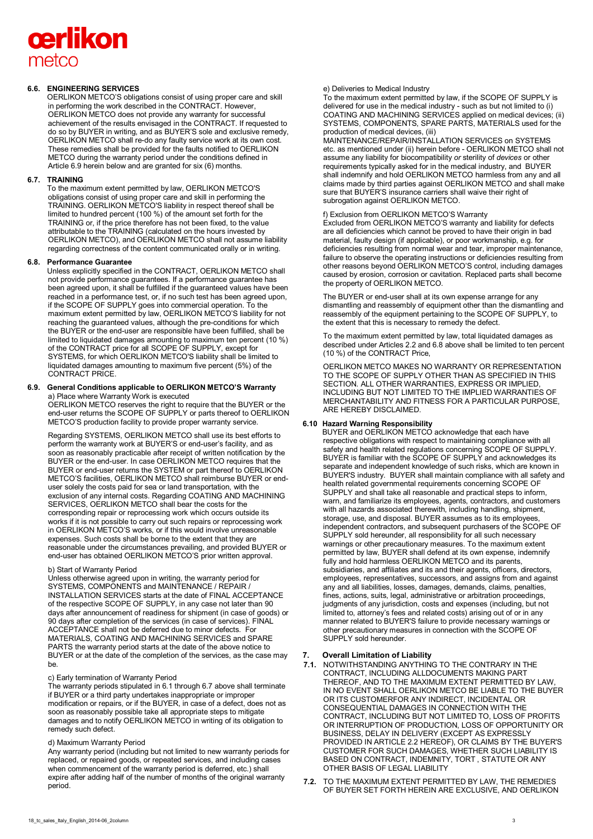# cerlikon metco

#### **6.6. ENGINEERING SERVICES**

OERLIKON METCO'S obligations consist of using proper care and skill in performing the work described in the CONTRACT. However, OERLIKON METCO does not provide any warranty for successful achievement of the results envisaged in the CONTRACT. If requested to do so by BUYER in writing, and as BUYER'S sole and exclusive remedy, OERLIKON METCO shall re-do any faulty service work at its own cost. These remedies shall be provided for the faults notified to OERLIKON METCO during the warranty period under the conditions defined in Article 6.9 herein below and are granted for six (6) months.

#### **6.7. TRAINING**

To the maximum extent permitted by law, OERLIKON METCO'S obligations consist of using proper care and skill in performing the TRAINING. OERLIKON METCO'S liability in respect thereof shall be limited to hundred percent (100 %) of the amount set forth for the TRAINING or, if the price therefore has not been fixed, to the value attributable to the TRAINING (calculated on the hours invested by OERLIKON METCO), and OERLIKON METCO shall not assume liability regarding correctness of the content communicated orally or in writing.

#### **6.8. Performance Guarantee**

Unless explicitly specified in the CONTRACT, OERLIKON METCO shall not provide performance guarantees. If a performance guarantee has been agreed upon, it shall be fulfilled if the guaranteed values have been reached in a performance test, or, if no such test has been agreed upon, if the SCOPE OF SUPPLY goes into commercial operation. To the maximum extent permitted by law, OERLIKON METCO'S liability for not reaching the guaranteed values, although the pre-conditions for which the BUYER or the end-user are responsible have been fulfilled, shall be limited to liquidated damages amounting to maximum ten percent (10 %) of the CONTRACT price for all SCOPE OF SUPPLY, except for SYSTEMS, for which OERLIKON METCO'S liability shall be limited to liquidated damages amounting to maximum five percent (5%) of the CONTRACT PRICE.

#### **6.9. General Conditions applicable to OERLIKON METCO'S Warranty**  a) Place where Warranty Work is executed

OERLIKON METCO reserves the right to require that the BUYER or the end-user returns the SCOPE OF SUPPLY or parts thereof to OERLIKON METCO'S production facility to provide proper warranty service.

Regarding SYSTEMS, OERLIKON METCO shall use its best efforts to perform the warranty work at BUYER'S or end-user's facility, and as soon as reasonably practicable after receipt of written notification by the BUYER or the end-user. In case OERLIKON METCO requires that the BUYER or end-user returns the SYSTEM or part thereof to OERLIKON METCO'S facilities, OERLIKON METCO shall reimburse BUYER or enduser solely the costs paid for sea or land transportation, with the exclusion of any internal costs. Regarding COATING AND MACHINING SERVICES, OERLIKON METCO shall bear the costs for the corresponding repair or reprocessing work which occurs outside its works if it is not possible to carry out such repairs or reprocessing work in OERLIKON METCO'S works, or if this would involve unreasonable expenses. Such costs shall be borne to the extent that they are reasonable under the circumstances prevailing, and provided BUYER or end-user has obtained OERLIKON METCO'S prior written approval.

#### b) Start of Warranty Period

Unless otherwise agreed upon in writing, the warranty period for SYSTEMS, COMPONENTS and MAINTENANCE / REPAIR / INSTALLATION SERVICES starts at the date of FINAL ACCEPTANCE of the respective SCOPE OF SUPPLY, in any case not later than 90 days after announcement of readiness for shipment (in case of goods) or 90 days after completion of the services (in case of services). FINAL ACCEPTANCE shall not be deferred due to minor defects. For MATERIALS, COATING AND MACHINING SERVICES and SPARE PARTS the warranty period starts at the date of the above notice to BUYER or at the date of the completion of the services, as the case may be.

#### c) Early termination of Warranty Period

The warranty periods stipulated in 6.1 through 6.7 above shall terminate if BUYER or a third party undertakes inappropriate or improper modification or repairs, or if the BUYER, in case of a defect, does not as soon as reasonably possible take all appropriate steps to mitigate damages and to notify OERLIKON METCO in writing of its obligation to remedy such defect.

#### d) Maximum Warranty Period

Any warranty period (including but not limited to new warranty periods for replaced, or repaired goods, or repeated services, and including cases when commencement of the warranty period is deferred, etc.) shall expire after adding half of the number of months of the original warranty period.

#### e) Deliveries to Medical Industry

To the maximum extent permitted by law, if the SCOPE OF SUPPLY is delivered for use in the medical industry - such as but not limited to (i) COATING AND MACHINING SERVICES applied on medical devices; (ii) SYSTEMS, COMPONENTS, SPARE PARTS, MATERIALS used for the production of medical devices, (iii)

MAINTENANCE/REPAIR/INSTALLATION SERVICES on SYSTEMS etc. as mentioned under (ii) herein before - OERLIKON METCO shall not assume any liability for biocompatibility *or* sterility of *devices* or other requirements typically asked for in the medical industry, and BUYER shall indemnify and hold OERLIKON METCO harmless from any and all claims made by third parties against OERLIKON METCO and shall make sure that BUYER'S insurance carriers shall waive their right of subrogation against OERLIKON METCO.

#### f) Exclusion from OERLIKON METCO'S Warranty

Excluded from OERLIKON METCO'S warranty and liability for defects are all deficiencies which cannot be proved to have their origin in bad material, faulty design (if applicable), or poor workmanship, e.g. for deficiencies resulting from normal wear and tear, improper maintenance, failure to observe the operating instructions or deficiencies resulting from other reasons beyond OERLIKON METCO'S control, including damages caused by erosion, corrosion or cavitation. Replaced parts shall become the property of OERLIKON METCO.

The BUYER or end-user shall at its own expense arrange for any dismantling and reassembly of equipment other than the dismantling and reassembly of the equipment pertaining to the SCOPE OF SUPPLY, to the extent that this is necessary to remedy the defect.

To the maximum extent permitted by law, total liquidated damages as described under Articles 2.2 and 6.8 above shall be limited to ten percent (10 %) of the CONTRACT Price,

OERLIKON METCO MAKES NO WARRANTY OR REPRESENTATION TO THE SCOPE OF SUPPLY OTHER THAN AS SPECIFIED IN THIS SECTION. ALL OTHER WARRANTIES, EXPRESS OR IMPLIED, INCLUDING BUT NOT LIMITED TO THE IMPLIED WARRANTIES OF MERCHANTABILITY AND FITNESS FOR A PARTICULAR PURPOSE, ARE HEREBY DISCLAIMED.

#### **6.10 Hazard Warning Responsibility**

BUYER and OERLIKON METCO acknowledge that each have respective obligations with respect to maintaining compliance with all safety and health related regulations concerning SCOPE OF SUPPLY. BUYER is familiar with the SCOPE OF SUPPLY and acknowledges its separate and independent knowledge of such risks, which are known in BUYER'S industry. BUYER shall maintain compliance with all safety and health related governmental requirements concerning SCOPE OF SUPPLY and shall take all reasonable and practical steps to inform, warn, and familiarize its employees, agents, contractors, and customers with all hazards associated therewith, including handling, shipment, storage, use, and disposal. BUYER assumes as to its employees, independent contractors, and subsequent purchasers of the SCOPE OF SUPPLY sold hereunder, all responsibility for all such necessary warnings or other precautionary measures. To the maximum extent permitted by law, BUYER shall defend at its own expense, indemnify fully and hold harmless OERLIKON METCO and its parents, subsidiaries, and affiliates and its and their agents, officers, directors, employees, representatives, successors, and assigns from and against any and all liabilities, losses, damages, demands, claims, penalties, fines, actions, suits, legal, administrative or arbitration proceedings, judgments of any jurisdiction, costs and expenses (including, but not limited to, attorney's fees and related costs) arising out of or in any manner related to BUYER'S failure to provide necessary warnings or other precautionary measures in connection with the SCOPE OF SUPPLY sold hereunder.

## **7. Overall Limitation of Liability**

- **7.1.** NOTWITHSTANDING ANYTHING TO THE CONTRARY IN THE CONTRACT, INCLUDING ALLDOCUMENTS MAKING PART THEREOF, AND TO THE MAXIMUM EXTENT PERMITTED BY LAW, IN NO EVENT SHALL OERLIKON METCO BE LIABLE TO THE BUYER OR ITS CUSTOMERFOR ANY INDIRECT, INCIDENTAL OR CONSEQUENTIAL DAMAGES IN CONNECTION WITH THE CONTRACT, INCLUDING BUT NOT LIMITED TO, LOSS OF PROFITS OR INTERRUPTION OF PRODUCTION, LOSS OF OPPORTUNITY OR BUSINESS, DELAY IN DELIVERY (EXCEPT AS EXPRESSLY PROVIDED IN ARTICLE 2.2 HEREOF), OR CLAIMS BY THE BUYER'S CUSTOMER FOR SUCH DAMAGES, WHETHER SUCH LIABILITY IS BASED ON CONTRACT, INDEMNITY, TORT , STATUTE OR ANY OTHER BASIS OF LEGAL LIABILITY
- **7.2.** TO THE MAXIMUM EXTENT PERMITTED BY LAW, THE REMEDIES OF BUYER SET FORTH HEREIN ARE EXCLUSIVE, AND OERLIKON